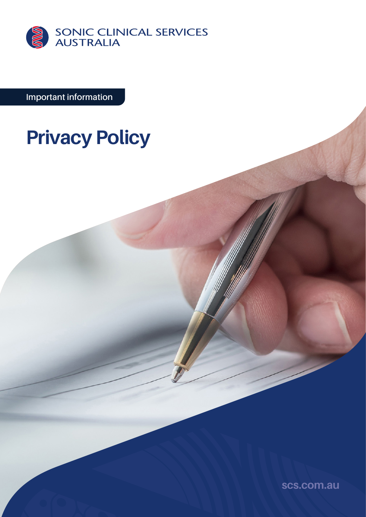

**Important information**

# **Privacy Policy**

**[scs.com.au](http://scs.com.au)**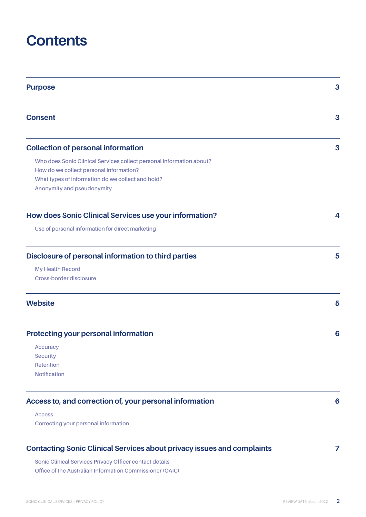## **Contents**

| <b>Purpose</b>                                                                                            | 3 |
|-----------------------------------------------------------------------------------------------------------|---|
| <b>Consent</b>                                                                                            | 3 |
| <b>Collection of personal information</b>                                                                 | 3 |
| Who does Sonic Clinical Services collect personal information about?                                      |   |
| How do we collect personal information?                                                                   |   |
| What types of information do we collect and hold?                                                         |   |
| Anonymity and pseudonymity                                                                                |   |
| How does Sonic Clinical Services use your information?                                                    | 4 |
| Use of personal information for direct marketing                                                          |   |
| Disclosure of personal information to third parties<br><b>My Health Record</b><br>Cross-border disclosure | 5 |
| <b>Website</b>                                                                                            | 5 |
| <b>Protecting your personal information</b>                                                               | 6 |
| Accuracy                                                                                                  |   |
| <b>Security</b>                                                                                           |   |
| Retention                                                                                                 |   |
| <b>Notification</b>                                                                                       |   |
| Access to, and correction of, your personal information                                                   | 6 |
| <b>Access</b>                                                                                             |   |
| Correcting your personal information                                                                      |   |
| <b>Contacting Sonic Clinical Services about privacy issues and complaints</b>                             | 7 |

**[Sonic Clinical Services Privacy Officer contact details](#page-6-0) [Office of the Australian Information Commissioner \(OAIC\)](#page-6-0)**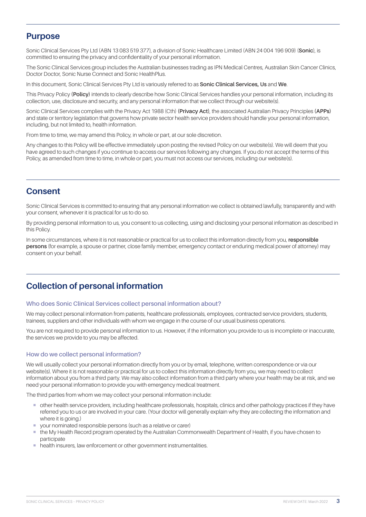## <span id="page-2-0"></span>**Purpose**

Sonic Clinical Services Pty Ltd (ABN 13 083 519 377), a division of Sonic Healthcare Limited (ABN 24 004 196 909) (**Sonic**), is committed to ensuring the privacy and confidentiality of your personal information.

The Sonic Clinical Services group includes the Australian businesses trading as IPN Medical Centres, Australian Skin Cancer Clinics, Doctor Doctor, Sonic Nurse Connect and Sonic HealthPlus.

In this document, Sonic Clinical Services Pty Ltd is variously referred to as **Sonic Clinical Services, Us** and **We**.

This Privacy Policy **(Policy)** intends to clearly describe how Sonic Clinical Services handles your personal information, including its collection, use, disclosure and security, and any personal information that we collect through our website(s).

Sonic Clinical Services complies with the Privacy Act 1988 (Cth) **(Privacy Act)**, the associated Australian Privacy Principles **(APPs)** and state or territory legislation that governs how private sector health service providers should handle your personal information, including, but not limited to, health information.

From time to time, we may amend this Policy, in whole or part, at our sole discretion.

Any changes to this Policy will be effective immediately upon posting the revised Policy on our website(s). We will deem that you have agreed to such changes if you continue to access our services following any changes. If you do not accept the terms of this Policy, as amended from time to time, in whole or part, you must not access our services, including our website(s).

## **Consent**

Sonic Clinical Services is committed to ensuring that any personal information we collect is obtained lawfully, transparently and with your consent, whenever it is practical for us to do so.

By providing personal information to us, you consent to us collecting, using and disclosing your personal information as described in this Policy.

In some circumstances, where it is not reasonable or practical for us to collect this information directly from you, **responsible persons** (for example, a spouse or partner, close family member, emergency contact or enduring medical power of attorney) may consent on your behalf.

## **Collection of personal information**

#### **Who does Sonic Clinical Services collect personal information about?**

We may collect personal information from patients, healthcare professionals, employees, contracted service providers, students, trainees, suppliers and other individuals with whom we engage in the course of our usual business operations.

You are not required to provide personal information to us. However, if the information you provide to us is incomplete or inaccurate, the services we provide to you may be affected.

#### **How do we collect personal information?**

We will usually collect your personal information directly from you or by email, telephone, written correspondence or via our website(s). Where it is not reasonable or practical for us to collect this information directly from you, we may need to collect information about you from a third party. We may also collect information from a third party where your health may be at risk, and we need your personal information to provide you with emergency medical treatment.

The third parties from whom we may collect your personal information include:

- ¡ other health service providers, including healthcare professionals, hospitals, clinics and other pathology practices if they have referred you to us or are involved in your care. (Your doctor will generally explain why they are collecting the information and where it is going.)
- ¡ your nominated responsible persons (such as a relative or carer)
- ¡ the My Health Record program operated by the Australian Commonwealth Department of Health, if you have chosen to participate
- health insurers, law enforcement or other government instrumentalities.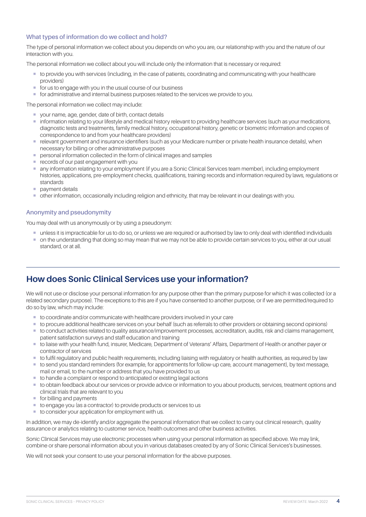## <span id="page-3-0"></span>**What types of information do we collect and hold?**

The type of personal information we collect about you depends on who you are, our relationship with you and the nature of our interaction with you.

The personal information we collect about you will include only the information that is necessary or required:

- ¡ to provide you with services (including, in the case of patients, coordinating and communicating with your healthcare providers)
- for us to engage with you in the usual course of our business
- ¡ for administrative and internal business purposes related to the services we provide to you.

The personal information we collect may include:

- ¡ your name, age, gender, date of birth, contact details
- ¡ information relating to your lifestyle and medical history relevant to providing healthcare services (such as your medications, diagnostic tests and treatments, family medical history, occupational history, genetic or biometric information and copies of correspondence to and from your healthcare providers)
- ¡ relevant government and insurance identifiers (such as your Medicare number or private health insurance details), when necessary for billing or other administrative purposes
- personal information collected in the form of clinical images and samples
- **records of our past engagement with you**
- ¡ any information relating to your employment (if you are a Sonic Clinical Services team member), including employment histories, applications, pre-employment checks, qualifications, training records and information required by laws, regulations or standards
- **•** payment details
- ¡ other information, occasionally including religion and ethnicity, that may be relevant in our dealings with you.

## **Anonymity and pseudonymity**

You may deal with us anonymously or by using a pseudonym:

- ¡ unless it is impracticable for us to do so, or unless we are required or authorised by law to only deal with identified individuals
- $\blacksquare$  on the understanding that doing so may mean that we may not be able to provide certain services to you, either at our usual standard, or at all.

## **How does Sonic Clinical Services use your information?**

We will not use or disclose your personal information for any purpose other than the primary purpose for which it was collected (or a related secondary purpose). The exceptions to this are if you have consented to another purpose, or if we are permitted/required to do so by law, which may include:

- ¡ to coordinate and/or communicate with healthcare providers involved in your care
- ¡ to procure additional healthcare services on your behalf (such as referrals to other providers or obtaining second opinions)
- ¡ to conduct activities related to quality assurance/improvement processes, accreditation, audits, risk and claims management, patient satisfaction surveys and staff education and training
- ¡ to liaise with your health fund, insurer, Medicare, Department of Veterans' Affairs, Department of Health or another payer or contractor of services
- ¡ to fulfil regulatory and public health requirements, including liaising with regulatory or health authorities, as required by law
- ¡ to send you standard reminders (for example, for appointments for follow-up care, account management), by text message, mail or email, to the number or address that you have provided to us
- ¡ to handle a complaint or respond to anticipated or existing legal actions
- ¡ to obtain feedback about our services or provide advice or information to you about products, services, treatment options and clinical trials that are relevant to you
- for billing and payments
- to engage you (as a contractor) to provide products or services to us
- to consider your application for employment with us.

In addition, we may de-identify and/or aggregate the personal information that we collect to carry out clinical research, quality assurance or analytics relating to customer service, health outcomes and other business activities.

Sonic Clinical Services may use electronic processes when using your personal information as specified above. We may link, combine or share personal information about you in various databases created by any of Sonic Clinical Services's businesses.

We will not seek your consent to use your personal information for the above purposes.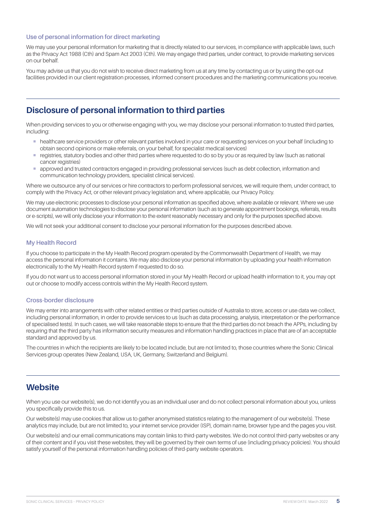## <span id="page-4-0"></span>**Use of personal information for direct marketing**

We may use your personal information for marketing that is directly related to our services, in compliance with applicable laws, such as the Privacy Act 1988 (Cth) and Spam Act 2003 (Cth). We may engage third parties, under contract, to provide marketing services on our behalf.

You may advise us that you do not wish to receive direct marketing from us at any time by contacting us or by using the opt-out facilities provided in our client registration processes, informed consent procedures and the marketing communications you receive.

## **Disclosure of personal information to third parties**

When providing services to you or otherwise engaging with you, we may disclose your personal information to trusted third parties, including:

- ¡ healthcare service providers or other relevant parties involved in your care or requesting services on your behalf (including to obtain second opinions or make referrals, on your behalf, for specialist medical services)
- ¡ registries, statutory bodies and other third parties where requested to do so by you or as required by law (such as national cancer registries)
- ¡ approved and trusted contractors engaged in providing professional services (such as debt collection, information and communication technology providers, specialist clinical services).

Where we outsource any of our services or hire contractors to perform professional services, we will require them, under contract, to comply with the Privacy Act, or other relevant privacy legislation and, where applicable, our Privacy Policy.

We may use electronic processes to disclose your personal information as specified above, where available or relevant. Where we use document automation technologies to disclose your personal information (such as to generate appointment bookings, referrals, results or e-scripts), we will only disclose your information to the extent reasonably necessary and only for the purposes specified above.

We will not seek your additional consent to disclose your personal information for the purposes described above.

### **My Health Record**

If you choose to participate in the My Health Record program operated by the Commonwealth Department of Health, we may access the personal information it contains. We may also disclose your personal information by uploading your health information electronically to the My Health Record system if requested to do so.

If you do not want us to access personal information stored in your My Health Record or upload health information to it, you may opt out or choose to modify access controls within the My Health Record system.

#### **Cross-border disclosure**

We may enter into arrangements with other related entities or third parties outside of Australia to store, access or use data we collect, including personal information, in order to provide services to us (such as data processing, analysis, interpretation or the performance of specialised tests). In such cases, we will take reasonable steps to ensure that the third parties do not breach the APPs, including by requiring that the third party has information security measures and information handling practices in place that are of an acceptable standard and approved by us.

The countries in which the recipients are likely to be located include, but are not limited to, those countries where the Sonic Clinical Services group operates (New Zealand, USA, UK, Germany, Switzerland and Belgium).

## **Website**

When you use our website(s), we do not identify you as an individual user and do not collect personal information about you, unless you specifically provide this to us.

Our website(s) may use cookies that allow us to gather anonymised statistics relating to the management of our website(s). These analytics may include, but are not limited to, your internet service provider (ISP), domain name, browser type and the pages you visit.

Our website(s) and our email communications may contain links to third-party websites. We do not control third-party websites or any of their content and if you visit these websites, they will be governed by their own terms of use (including privacy policies). You should satisfy yourself of the personal information handling policies of third-party website operators.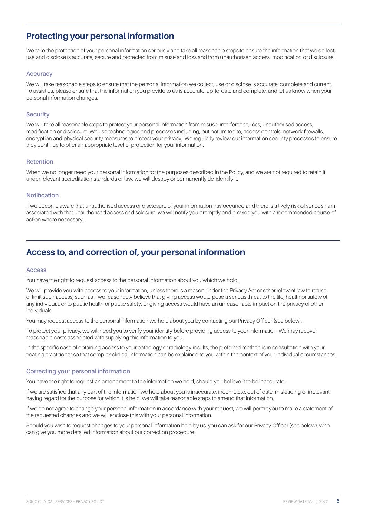## <span id="page-5-0"></span>**Protecting your personal information**

We take the protection of your personal information seriously and take all reasonable steps to ensure the information that we collect, use and disclose is accurate, secure and protected from misuse and loss and from unauthorised access, modification or disclosure.

### **Accuracy**

We will take reasonable steps to ensure that the personal information we collect, use or disclose is accurate, complete and current. To assist us, please ensure that the information you provide to us is accurate, up-to-date and complete, and let us know when your personal information changes.

### **Security**

We will take all reasonable steps to protect your personal information from misuse, interference, loss, unauthorised access, modification or disclosure. We use technologies and processes including, but not limited to, access controls, network firewalls, encryption and physical security measures to protect your privacy. We regularly review our information security processes to ensure they continue to offer an appropriate level of protection for your information.

### **Retention**

When we no longer need your personal information for the purposes described in the Policy, and we are not required to retain it under relevant accreditation standards or law, we will destroy or permanently de-identify it.

#### **Notification**

If we become aware that unauthorised access or disclosure of your information has occurred and there is a likely risk of serious harm associated with that unauthorised access or disclosure, we will notify you promptly and provide you with a recommended course of action where necessary.

## **Access to, and correction of, your personal information**

#### **Access**

You have the right to request access to the personal information about you which we hold.

We will provide you with access to your information, unless there is a reason under the Privacy Act or other relevant law to refuse or limit such access, such as if we reasonably believe that giving access would pose a serious threat to the life, health or safety of any individual, or to public health or public safety; or giving access would have an unreasonable impact on the privacy of other individuals.

You may request access to the personal information we hold about you by contacting our Privacy Officer (see below).

To protect your privacy, we will need you to verify your identity before providing access to your information. We may recover reasonable costs associated with supplying this information to you.

In the specific case of obtaining access to your pathology or radiology results, the preferred method is in consultation with your treating practitioner so that complex clinical information can be explained to you within the context of your individual circumstances.

### **Correcting your personal information**

You have the right to request an amendment to the information we hold, should you believe it to be inaccurate.

If we are satisfied that any part of the information we hold about you is inaccurate, incomplete, out of date, misleading or irrelevant, having regard for the purpose for which it is held, we will take reasonable steps to amend that information.

If we do not agree to change your personal information in accordance with your request, we will permit you to make a statement of the requested changes and we will enclose this with your personal information.

Should you wish to request changes to your personal information held by us, you can ask for our Privacy Officer (see below), who can give you more detailed information about our correction procedure.